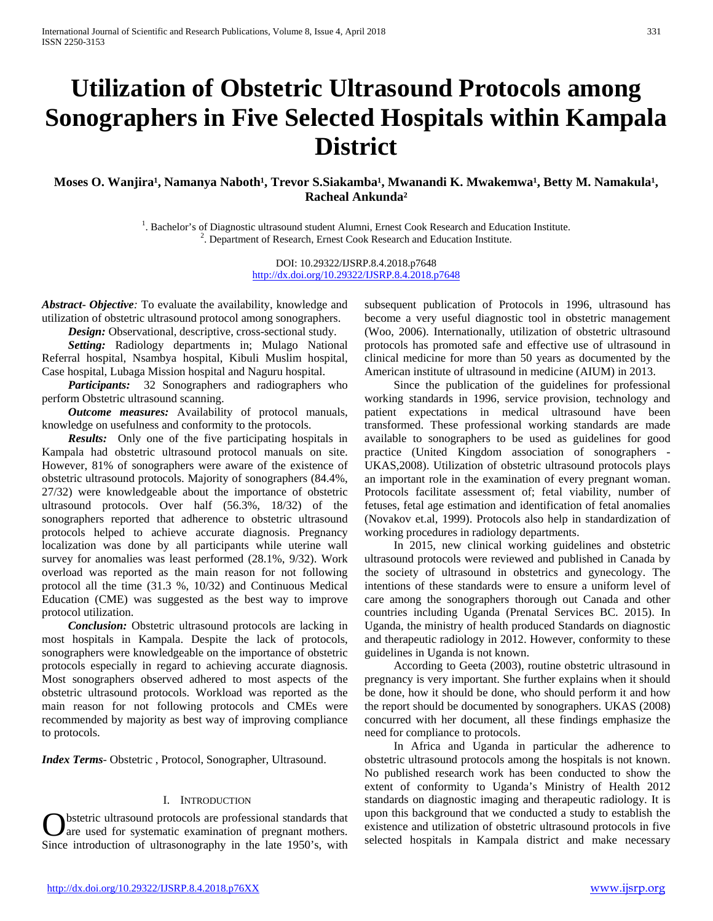# **Utilization of Obstetric Ultrasound Protocols among Sonographers in Five Selected Hospitals within Kampala District**

Moses O. Wanjira<sup>1</sup>, Namanya Naboth<sup>1</sup>, Trevor S.Siakamba<sup>1</sup>, Mwanandi K. Mwakemwa<sup>1</sup>, Betty M. Namakula<sup>1</sup>, **Racheal Ankunda²**

> <sup>1</sup>. Bachelor's of Diagnostic ultrasound student Alumni, Ernest Cook Research and Education Institute. <sup>2</sup>. Department of Research, Ernest Cook Research and Education Institute.

> > DOI: 10.29322/IJSRP.8.4.2018.p7648 <http://dx.doi.org/10.29322/IJSRP.8.4.2018.p7648>

*Abstract***-** *Objective:* To evaluate the availability, knowledge and utilization of obstetric ultrasound protocol among sonographers.

 *Design:* Observational, descriptive, cross-sectional study.

 *Setting:* Radiology departments in; Mulago National Referral hospital, Nsambya hospital, Kibuli Muslim hospital, Case hospital, Lubaga Mission hospital and Naguru hospital.

 *Participants:* 32 Sonographers and radiographers who perform Obstetric ultrasound scanning.

 *Outcome measures:* Availability of protocol manuals, knowledge on usefulness and conformity to the protocols.

 *Results:* Only one of the five participating hospitals in Kampala had obstetric ultrasound protocol manuals on site. However, 81% of sonographers were aware of the existence of obstetric ultrasound protocols. Majority of sonographers (84.4%, 27/32) were knowledgeable about the importance of obstetric ultrasound protocols. Over half (56.3%, 18/32) of the sonographers reported that adherence to obstetric ultrasound protocols helped to achieve accurate diagnosis. Pregnancy localization was done by all participants while uterine wall survey for anomalies was least performed (28.1%, 9/32). Work overload was reported as the main reason for not following protocol all the time (31.3 %, 10/32) and Continuous Medical Education (CME) was suggested as the best way to improve protocol utilization.

 *Conclusion:* Obstetric ultrasound protocols are lacking in most hospitals in Kampala. Despite the lack of protocols, sonographers were knowledgeable on the importance of obstetric protocols especially in regard to achieving accurate diagnosis. Most sonographers observed adhered to most aspects of the obstetric ultrasound protocols. Workload was reported as the main reason for not following protocols and CMEs were recommended by majority as best way of improving compliance to protocols.

*Index Terms*- Obstetric , Protocol, Sonographer, Ultrasound.

## I. INTRODUCTION

bstetric ultrasound protocols are professional standards that Since introduction of ultrasonography in the late 1950's, with subsequent publication of Protocols in 1996, ultrasound has become a very useful diagnostic tool in obstetric management (Woo, 2006). Internationally, utilization of obstetric ultrasound protocols has promoted safe and effective use of ultrasound in clinical medicine for more than 50 years as documented by the American institute of ultrasound in medicine (AIUM) in 2013.

 Since the publication of the guidelines for professional working standards in 1996, service provision, technology and patient expectations in medical ultrasound have been transformed. These professional working standards are made available to sonographers to be used as guidelines for good practice (United Kingdom association of sonographers - UKAS,2008). Utilization of obstetric ultrasound protocols plays an important role in the examination of every pregnant woman. Protocols facilitate assessment of; fetal viability, number of fetuses, fetal age estimation and identification of fetal anomalies (Novakov et.al, 1999). Protocols also help in standardization of working procedures in radiology departments.

 In 2015, new clinical working guidelines and obstetric ultrasound protocols were reviewed and published in Canada by the society of ultrasound in obstetrics and gynecology. The intentions of these standards were to ensure a uniform level of care among the sonographers thorough out Canada and other countries including Uganda (Prenatal Services BC. 2015). In Uganda, the ministry of health produced Standards on diagnostic and therapeutic radiology in 2012. However, conformity to these guidelines in Uganda is not known.

 According to Geeta (2003), routine obstetric ultrasound in pregnancy is very important. She further explains when it should be done, how it should be done, who should perform it and how the report should be documented by sonographers. UKAS (2008) concurred with her document, all these findings emphasize the need for compliance to protocols.

Suppose that we conducted a study to establish the are used for systematic examination of pregnant mothers. Since and utilization of obstetric ultrasound protocols in five selected hospitals in Kampala district and make ne In Africa and Uganda in particular the adherence to obstetric ultrasound protocols among the hospitals is not known. No published research work has been conducted to show the extent of conformity to Uganda's Ministry of Health 2012 standards on diagnostic imaging and therapeutic radiology. It is upon this background that we conducted a study to establish the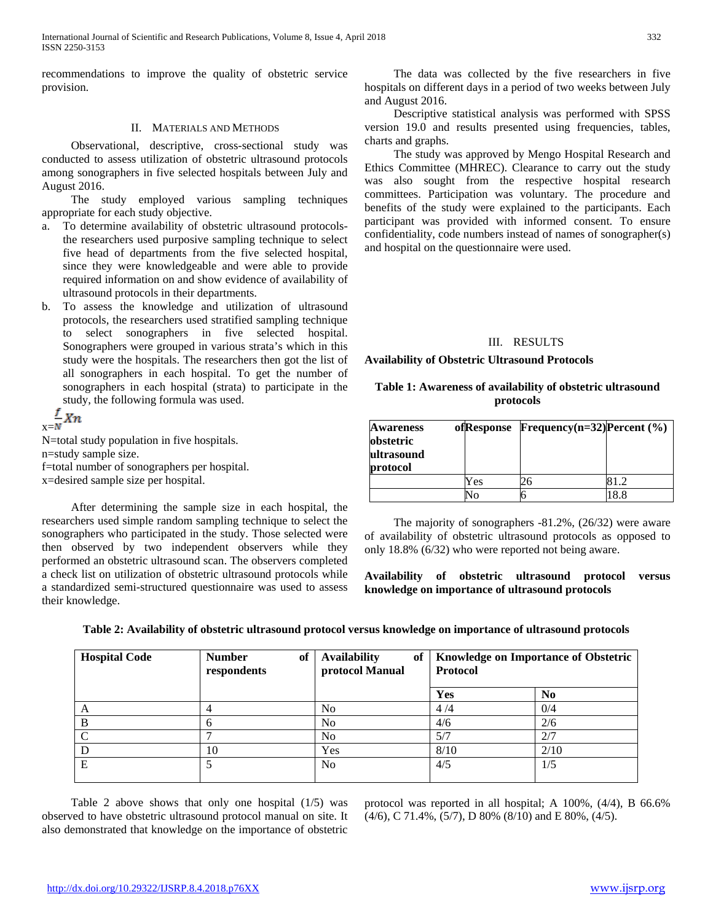recommendations to improve the quality of obstetric service provision.

## II. MATERIALS AND METHODS

 Observational, descriptive, cross-sectional study was conducted to assess utilization of obstetric ultrasound protocols among sonographers in five selected hospitals between July and August 2016.

 The study employed various sampling techniques appropriate for each study objective.

- a. To determine availability of obstetric ultrasound protocolsthe researchers used purposive sampling technique to select five head of departments from the five selected hospital, since they were knowledgeable and were able to provide required information on and show evidence of availability of ultrasound protocols in their departments.
- b. To assess the knowledge and utilization of ultrasound protocols, the researchers used stratified sampling technique to select sonographers in five selected hospital. Sonographers were grouped in various strata's which in this study were the hospitals. The researchers then got the list of all sonographers in each hospital. To get the number of sonographers in each hospital (strata) to participate in the study, the following formula was used.

$$
\frac{f}{x=N}Xn
$$

N=total study population in five hospitals. n=study sample size. f=total number of sonographers per hospital. x=desired sample size per hospital.

 After determining the sample size in each hospital, the researchers used simple random sampling technique to select the sonographers who participated in the study. Those selected were then observed by two independent observers while they performed an obstetric ultrasound scan. The observers completed a check list on utilization of obstetric ultrasound protocols while a standardized semi-structured questionnaire was used to assess their knowledge.

 The data was collected by the five researchers in five hospitals on different days in a period of two weeks between July and August 2016.

 Descriptive statistical analysis was performed with SPSS version 19.0 and results presented using frequencies, tables, charts and graphs.

 The study was approved by Mengo Hospital Research and Ethics Committee (MHREC). Clearance to carry out the study was also sought from the respective hospital research committees. Participation was voluntary. The procedure and benefits of the study were explained to the participants. Each participant was provided with informed consent. To ensure confidentiality, code numbers instead of names of sonographer(s) and hospital on the questionnaire were used.

# III. RESULTS

**Availability of Obstetric Ultrasound Protocols**

## **Table 1: Awareness of availability of obstetric ultrasound protocols**

| <b>Awareness</b><br>obstetric<br>ultrasound<br>protocol | ofResponse | Frequency(n=32) $Percent$ (%) |     |
|---------------------------------------------------------|------------|-------------------------------|-----|
|                                                         | Yes        |                               | 12  |
|                                                         | Vо         |                               | 8.8 |

 The majority of sonographers -81.2%, (26/32) were aware of availability of obstetric ultrasound protocols as opposed to only 18.8% (6/32) who were reported not being aware.

**Availability of obstetric ultrasound protocol versus knowledge on importance of ultrasound protocols**

| <b>Hospital Code</b> | <b>Number</b><br>of<br>respondents | <b>Availability</b><br>protocol Manual | of   Knowledge on Importance of Obstetric<br>Protocol |      |
|----------------------|------------------------------------|----------------------------------------|-------------------------------------------------------|------|
|                      |                                    |                                        | Yes                                                   | No   |
|                      |                                    | N <sub>0</sub>                         | 4/4                                                   | 0/4  |
| B                    | h                                  | N <sub>0</sub>                         | 4/6                                                   | 2/6  |
|                      |                                    | N <sub>0</sub>                         | 5/7                                                   | 2/7  |
|                      | 10                                 | Yes                                    | 8/10                                                  | 2/10 |
| E                    |                                    | N <sub>0</sub>                         | 4/5                                                   | 1/5  |

**Table 2: Availability of obstetric ultrasound protocol versus knowledge on importance of ultrasound protocols**

 Table 2 above shows that only one hospital (1/5) was observed to have obstetric ultrasound protocol manual on site. It also demonstrated that knowledge on the importance of obstetric

protocol was reported in all hospital; A 100%, (4/4), B 66.6% (4/6), C 71.4%, (5/7), D 80% (8/10) and E 80%, (4/5).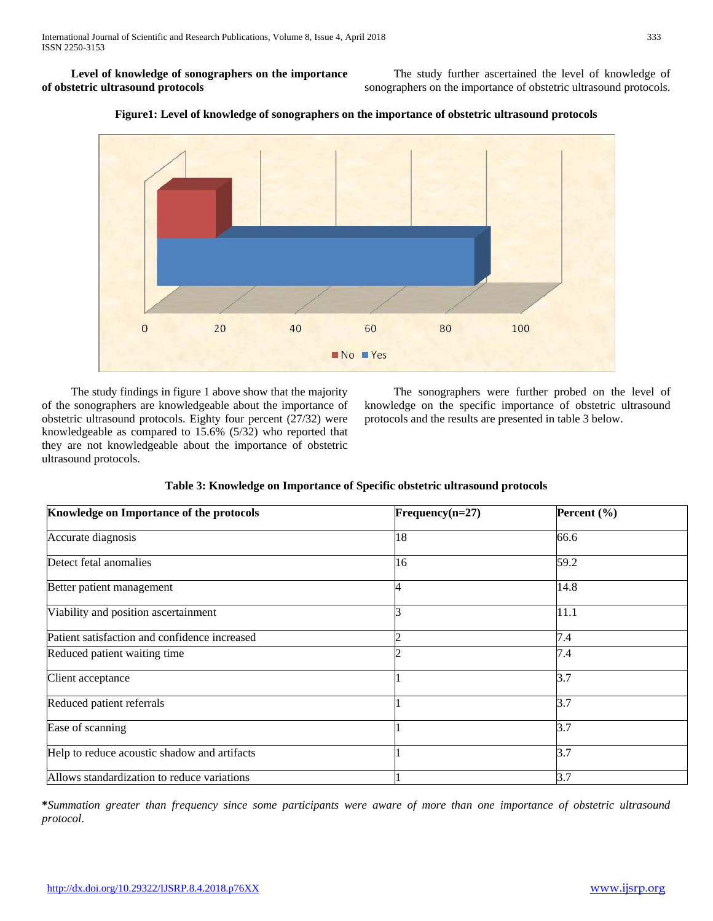**Level of knowledge of sonographers on the importance of obstetric ultrasound protocols**

 The study further ascertained the level of knowledge of sonographers on the importance of obstetric ultrasound protocols.



**Figure1: Level of knowledge of sonographers on the importance of obstetric ultrasound protocols**

 The study findings in figure 1 above show that the majority of the sonographers are knowledgeable about the importance of obstetric ultrasound protocols. Eighty four percent (27/32) were knowledgeable as compared to 15.6% (5/32) who reported that they are not knowledgeable about the importance of obstetric ultrasound protocols.

 The sonographers were further probed on the level of knowledge on the specific importance of obstetric ultrasound protocols and the results are presented in table 3 below.

# **Table 3: Knowledge on Importance of Specific obstetric ultrasound protocols**

| Knowledge on Importance of the protocols      | $Frequency(n=27)$ | Percent $(\% )$ |  |
|-----------------------------------------------|-------------------|-----------------|--|
| Accurate diagnosis                            | 18                | 66.6            |  |
| Detect fetal anomalies                        | 16                | 59.2            |  |
| Better patient management                     |                   | 14.8            |  |
| Viability and position ascertainment          |                   | 11.1            |  |
| Patient satisfaction and confidence increased |                   | 7.4             |  |
| Reduced patient waiting time                  |                   | 7.4             |  |
| Client acceptance                             |                   | 3.7             |  |
| Reduced patient referrals                     |                   | 3.7             |  |
| Ease of scanning                              |                   | 3.7             |  |
| Help to reduce acoustic shadow and artifacts  |                   | 3.7             |  |
| Allows standardization to reduce variations   |                   | 3.7             |  |

**\****Summation greater than frequency since some participants were aware of more than one importance of obstetric ultrasound protocol*.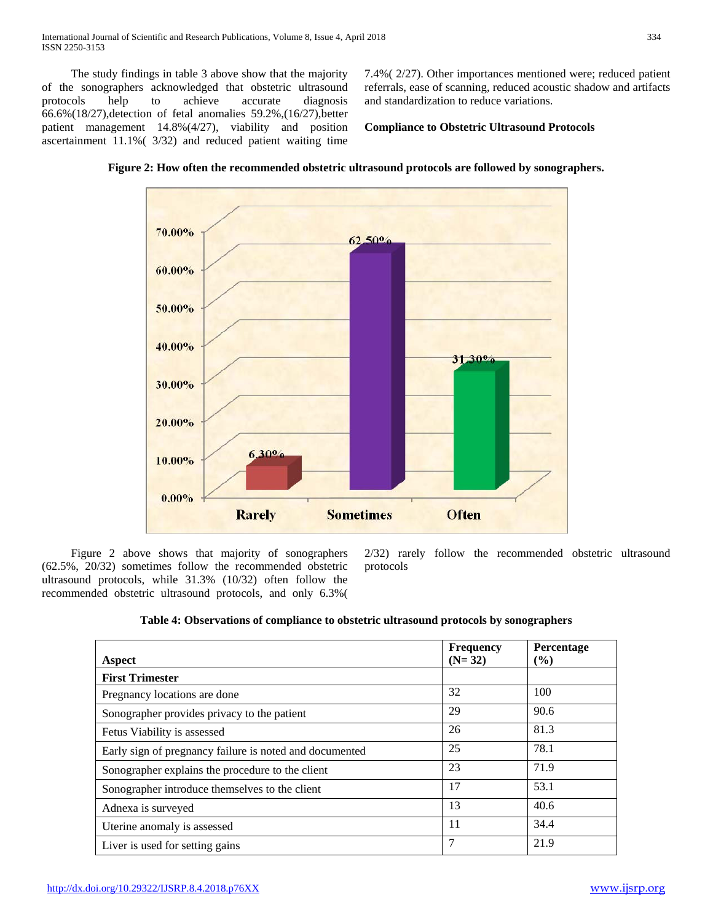The study findings in table 3 above show that the majority of the sonographers acknowledged that obstetric ultrasound protocols help to achieve accurate diagnosis 66.6%(18/27),detection of fetal anomalies 59.2%,(16/27),better patient management 14.8%(4/27), viability and position ascertainment 11.1%( 3/32) and reduced patient waiting time 7.4%( 2/27). Other importances mentioned were; reduced patient referrals, ease of scanning, reduced acoustic shadow and artifacts and standardization to reduce variations.

## **Compliance to Obstetric Ultrasound Protocols**



**Figure 2: How often the recommended obstetric ultrasound protocols are followed by sonographers.**

 Figure 2 above shows that majority of sonographers (62.5%, 20/32) sometimes follow the recommended obstetric ultrasound protocols, while 31.3% (10/32) often follow the recommended obstetric ultrasound protocols, and only 6.3%( 2/32) rarely follow the recommended obstetric ultrasound protocols

## **Table 4: Observations of compliance to obstetric ultrasound protocols by sonographers**

| <b>Aspect</b>                                           | <b>Frequency</b><br>$(N=32)$ | Percentage<br>$($ %) |
|---------------------------------------------------------|------------------------------|----------------------|
| <b>First Trimester</b>                                  |                              |                      |
| Pregnancy locations are done                            | 32                           | 100                  |
| Sonographer provides privacy to the patient             | 29                           | 90.6                 |
| Fetus Viability is assessed                             | 26                           | 81.3                 |
| Early sign of pregnancy failure is noted and documented | 25                           | 78.1                 |
| Sonographer explains the procedure to the client        | 23                           | 71.9                 |
| Sonographer introduce themselves to the client          | 17                           | 53.1                 |
| Adnexa is surveyed                                      | 13                           | 40.6                 |
| Uterine anomaly is assessed                             | 11                           | 34.4                 |
| Liver is used for setting gains                         | 7                            | 21.9                 |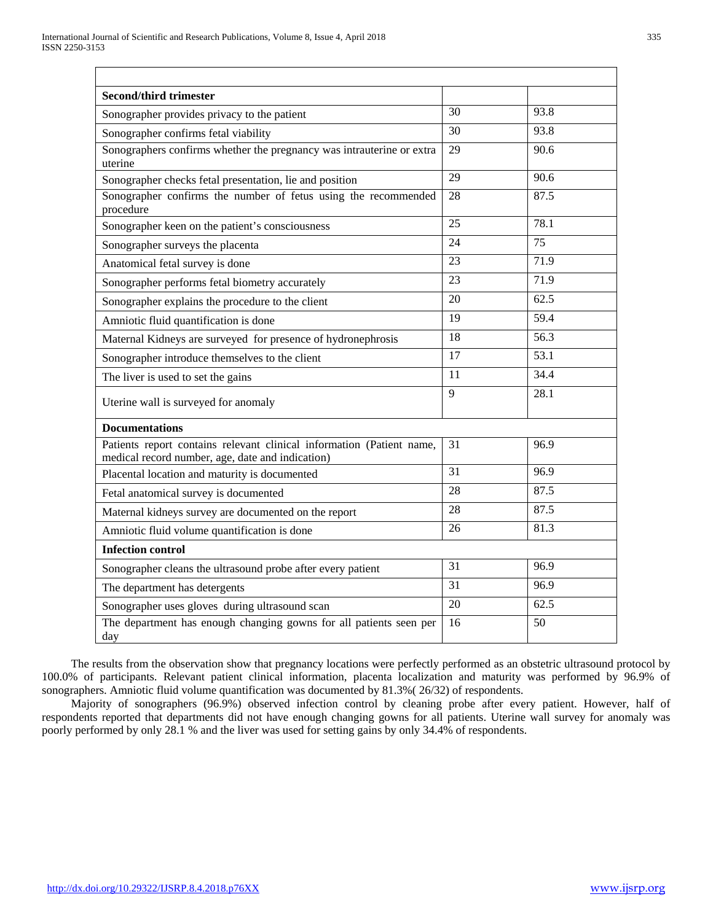| <b>Second/third trimester</b>                                                                                             |    |      |
|---------------------------------------------------------------------------------------------------------------------------|----|------|
| Sonographer provides privacy to the patient                                                                               | 30 | 93.8 |
| Sonographer confirms fetal viability                                                                                      | 30 | 93.8 |
| Sonographers confirms whether the pregnancy was intrauterine or extra<br>uterine                                          | 29 | 90.6 |
| Sonographer checks fetal presentation, lie and position                                                                   | 29 | 90.6 |
| Sonographer confirms the number of fetus using the recommended<br>procedure                                               | 28 | 87.5 |
| Sonographer keen on the patient's consciousness                                                                           | 25 | 78.1 |
| Sonographer surveys the placenta                                                                                          | 24 | 75   |
| Anatomical fetal survey is done                                                                                           | 23 | 71.9 |
| Sonographer performs fetal biometry accurately                                                                            | 23 | 71.9 |
| Sonographer explains the procedure to the client                                                                          | 20 | 62.5 |
| Amniotic fluid quantification is done                                                                                     | 19 | 59.4 |
| Maternal Kidneys are surveyed for presence of hydronephrosis                                                              | 18 | 56.3 |
| Sonographer introduce themselves to the client                                                                            | 17 | 53.1 |
| The liver is used to set the gains                                                                                        | 11 | 34.4 |
| Uterine wall is surveyed for anomaly                                                                                      | 9  | 28.1 |
| <b>Documentations</b>                                                                                                     |    |      |
| Patients report contains relevant clinical information (Patient name,<br>medical record number, age, date and indication) | 31 | 96.9 |
| Placental location and maturity is documented                                                                             | 31 | 96.9 |
| Fetal anatomical survey is documented                                                                                     | 28 | 87.5 |
| Maternal kidneys survey are documented on the report                                                                      | 28 | 87.5 |
| Amniotic fluid volume quantification is done                                                                              | 26 | 81.3 |
| <b>Infection control</b>                                                                                                  |    |      |
| Sonographer cleans the ultrasound probe after every patient                                                               | 31 | 96.9 |
| The department has detergents                                                                                             | 31 | 96.9 |
| Sonographer uses gloves during ultrasound scan                                                                            | 20 | 62.5 |
| The department has enough changing gowns for all patients seen per<br>day                                                 | 16 | 50   |

 The results from the observation show that pregnancy locations were perfectly performed as an obstetric ultrasound protocol by 100.0% of participants. Relevant patient clinical information, placenta localization and maturity was performed by 96.9% of sonographers. Amniotic fluid volume quantification was documented by 81.3%( 26/32) of respondents.

 Majority of sonographers (96.9%) observed infection control by cleaning probe after every patient. However, half of respondents reported that departments did not have enough changing gowns for all patients. Uterine wall survey for anomaly was poorly performed by only 28.1 % and the liver was used for setting gains by only 34.4% of respondents.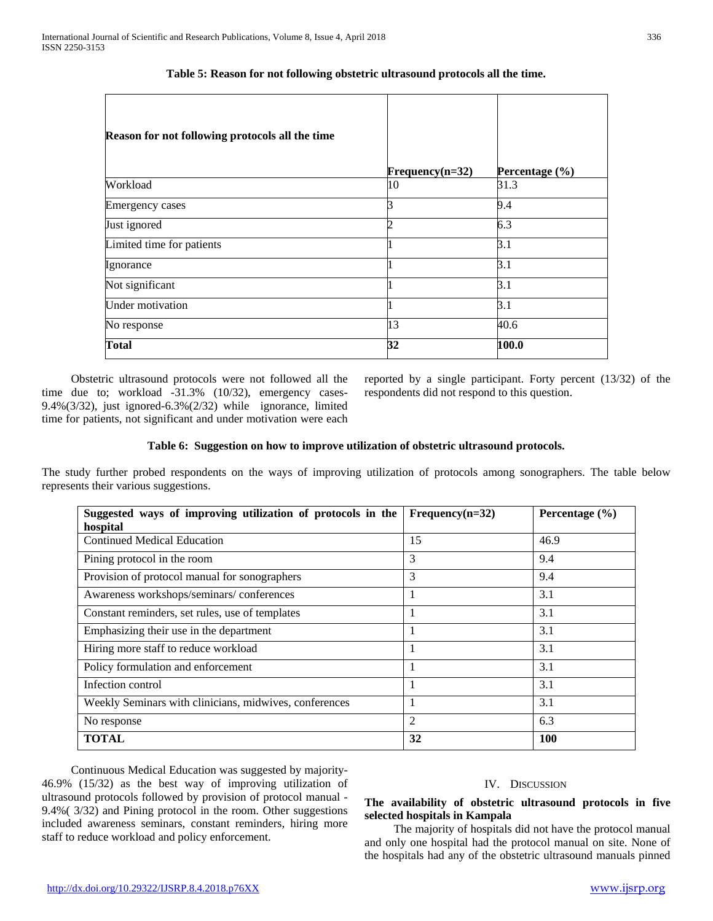| Reason for not following protocols all the time |                   |                    |
|-------------------------------------------------|-------------------|--------------------|
|                                                 | $Frequency(n=32)$ | Percentage $(\% )$ |
| Workload                                        | 10                | 31.3               |
| <b>Emergency cases</b>                          | 3                 | 9.4                |
| Just ignored                                    |                   | 6.3                |
| Limited time for patients                       |                   | 3.1                |
| Ignorance                                       |                   | 3.1                |
| Not significant                                 |                   | 3.1                |
| Under motivation                                | -                 | 3.1                |
| No response                                     | 13                | 40.6               |
| Total                                           | 32                | 100.0              |

**Table 5: Reason for not following obstetric ultrasound protocols all the time.**

 Obstetric ultrasound protocols were not followed all the time due to; workload -31.3% (10/32), emergency cases-9.4%(3/32), just ignored-6.3%(2/32) while ignorance, limited time for patients, not significant and under motivation were each

reported by a single participant. Forty percent (13/32) of the respondents did not respond to this question.

# **Table 6: Suggestion on how to improve utilization of obstetric ultrasound protocols.**

The study further probed respondents on the ways of improving utilization of protocols among sonographers. The table below represents their various suggestions.

| Suggested ways of improving utilization of protocols in the | $Frequency(n=32)$ | Percentage $(\% )$ |
|-------------------------------------------------------------|-------------------|--------------------|
| hospital                                                    |                   |                    |
| <b>Continued Medical Education</b>                          | 15                | 46.9               |
| Pining protocol in the room                                 | 3                 | 9.4                |
| Provision of protocol manual for sonographers               | 3                 | 9.4                |
| Awareness workshops/seminars/conferences                    |                   | 3.1                |
| Constant reminders, set rules, use of templates             |                   | 3.1                |
| Emphasizing their use in the department                     |                   | 3.1                |
| Hiring more staff to reduce workload                        |                   | 3.1                |
| Policy formulation and enforcement                          |                   | 3.1                |
| Infection control                                           |                   | 3.1                |
| Weekly Seminars with clinicians, midwives, conferences      |                   | 3.1                |
| No response                                                 | $\mathfrak{D}$    | 6.3                |
| <b>TOTAL</b>                                                | 32                | 100                |

 Continuous Medical Education was suggested by majority-46.9% (15/32) as the best way of improving utilization of ultrasound protocols followed by provision of protocol manual - 9.4%( 3/32) and Pining protocol in the room. Other suggestions included awareness seminars, constant reminders, hiring more staff to reduce workload and policy enforcement.

## IV. DISCUSSION

# **The availability of obstetric ultrasound protocols in five selected hospitals in Kampala**

 The majority of hospitals did not have the protocol manual and only one hospital had the protocol manual on site. None of the hospitals had any of the obstetric ultrasound manuals pinned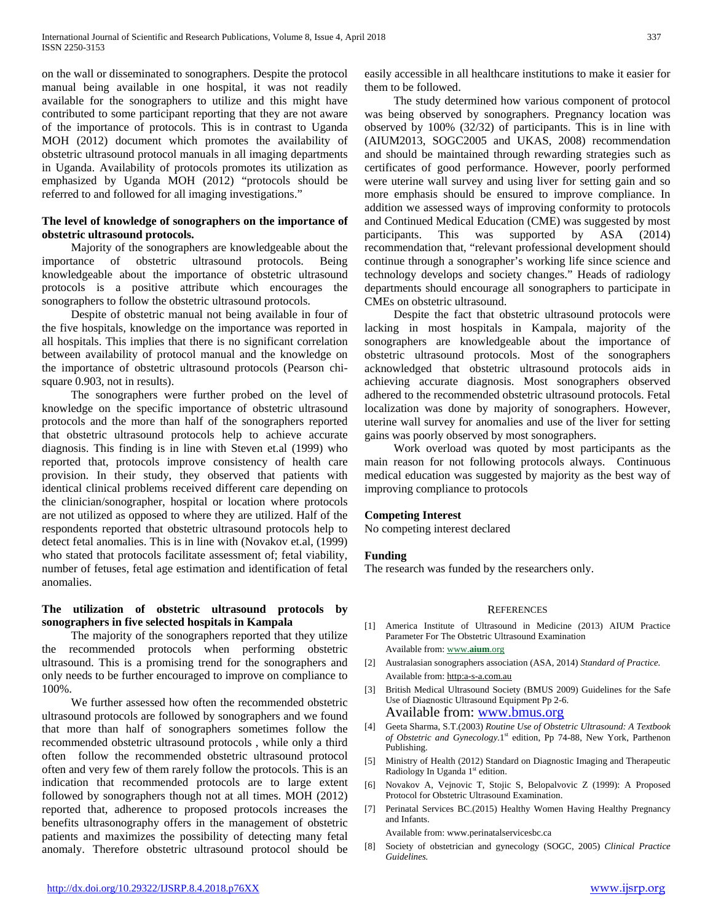on the wall or disseminated to sonographers. Despite the protocol manual being available in one hospital, it was not readily available for the sonographers to utilize and this might have contributed to some participant reporting that they are not aware of the importance of protocols. This is in contrast to Uganda MOH (2012) document which promotes the availability of obstetric ultrasound protocol manuals in all imaging departments in Uganda. Availability of protocols promotes its utilization as emphasized by Uganda MOH (2012) "protocols should be referred to and followed for all imaging investigations."

# **The level of knowledge of sonographers on the importance of obstetric ultrasound protocols.**

 Majority of the sonographers are knowledgeable about the importance of obstetric ultrasound protocols. Being knowledgeable about the importance of obstetric ultrasound protocols is a positive attribute which encourages the sonographers to follow the obstetric ultrasound protocols.

 Despite of obstetric manual not being available in four of the five hospitals, knowledge on the importance was reported in all hospitals. This implies that there is no significant correlation between availability of protocol manual and the knowledge on the importance of obstetric ultrasound protocols (Pearson chisquare 0.903, not in results).

 The sonographers were further probed on the level of knowledge on the specific importance of obstetric ultrasound protocols and the more than half of the sonographers reported that obstetric ultrasound protocols help to achieve accurate diagnosis. This finding is in line with Steven et.al (1999) who reported that, protocols improve consistency of health care provision. In their study, they observed that patients with identical clinical problems received different care depending on the clinician/sonographer, hospital or location where protocols are not utilized as opposed to where they are utilized. Half of the respondents reported that obstetric ultrasound protocols help to detect fetal anomalies. This is in line with (Novakov et.al, (1999) who stated that protocols facilitate assessment of; fetal viability, number of fetuses, fetal age estimation and identification of fetal anomalies.

# **The utilization of obstetric ultrasound protocols by sonographers in five selected hospitals in Kampala**

 The majority of the sonographers reported that they utilize the recommended protocols when performing obstetric ultrasound. This is a promising trend for the sonographers and only needs to be further encouraged to improve on compliance to 100%.

 We further assessed how often the recommended obstetric ultrasound protocols are followed by sonographers and we found that more than half of sonographers sometimes follow the recommended obstetric ultrasound protocols , while only a third often follow the recommended obstetric ultrasound protocol often and very few of them rarely follow the protocols. This is an indication that recommended protocols are to large extent followed by sonographers though not at all times. MOH (2012) reported that, adherence to proposed protocols increases the benefits ultrasonography offers in the management of obstetric patients and maximizes the possibility of detecting many fetal anomaly. Therefore obstetric ultrasound protocol should be easily accessible in all healthcare institutions to make it easier for them to be followed.

 The study determined how various component of protocol was being observed by sonographers. Pregnancy location was observed by 100% (32/32) of participants. This is in line with (AIUM2013, SOGC2005 and UKAS, 2008) recommendation and should be maintained through rewarding strategies such as certificates of good performance. However, poorly performed were uterine wall survey and using liver for setting gain and so more emphasis should be ensured to improve compliance. In addition we assessed ways of improving conformity to protocols and Continued Medical Education (CME) was suggested by most participants. This was supported by ASA (2014) recommendation that, "relevant professional development should continue through a sonographer's working life since science and technology develops and society changes." Heads of radiology departments should encourage all sonographers to participate in CMEs on obstetric ultrasound.

 Despite the fact that obstetric ultrasound protocols were lacking in most hospitals in Kampala, majority of the sonographers are knowledgeable about the importance of obstetric ultrasound protocols. Most of the sonographers acknowledged that obstetric ultrasound protocols aids in achieving accurate diagnosis. Most sonographers observed adhered to the recommended obstetric ultrasound protocols. Fetal localization was done by majority of sonographers. However, uterine wall survey for anomalies and use of the liver for setting gains was poorly observed by most sonographers.

 Work overload was quoted by most participants as the main reason for not following protocols always. Continuous medical education was suggested by majority as the best way of improving compliance to protocols

## **Competing Interest**

No competing interest declared

# **Funding**

The research was funded by the researchers only.

## **REFERENCES**

- [1] America Institute of Ultrasound in Medicine (2013) AIUM Practice Parameter For The Obstetric Ultrasound Examination Available from: www.**aium**.org
- [2] Australasian sonographers association (ASA, 2014) *Standard of Practice.* Available from: http:a-s-a.com.au
- [3] British Medical Ultrasound Society (BMUS 2009) Guidelines for the Safe Use of Diagnostic Ultrasound Equipment Pp 2-6. Available from: [www.bmus.org](http://www.bmus.org/)
- [4] Geeta Sharma, S.T.(2003) *Routine Use of Obstetric Ultrasound: A Textbook of Obstetric and Gynecology.*1st edition, Pp 74-88, New York, Parthenon Publishing.
- [5] Ministry of Health (2012) Standard on Diagnostic Imaging and Therapeutic Radiology In Uganda 1st edition.
- [6] Novakov A, Vejnovic T, Stojic S, Belopalvovic Z (1999): A Proposed Protocol for Obstetric Ultrasound Examination.
- [7] Perinatal Services BC.(2015) Healthy Women Having Healthy Pregnancy and Infants.

Available from: www.perinatalservicesbc.ca

[8] Society of obstetrician and gynecology (SOGC, 2005) *Clinical Practice Guidelines.*